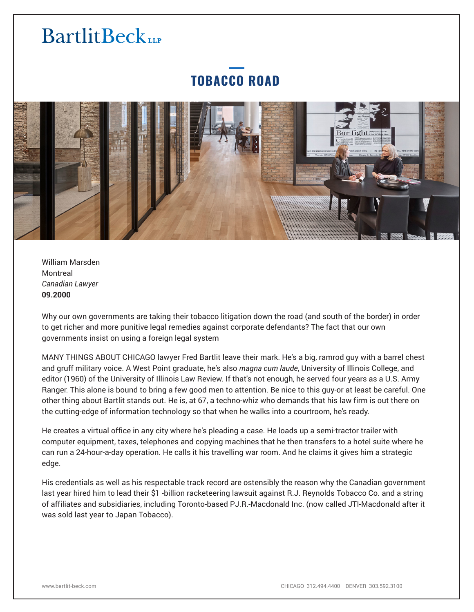### **TOBACCO ROAD**



William Marsden Montreal *Canadian Lawyer* **09.2000**

Why our own governments are taking their tobacco litigation down the road (and south of the border) in order to get richer and more punitive legal remedies against corporate defendants? The fact that our own governments insist on using a foreign legal system

MANY THINGS ABOUT CHICAGO lawyer Fred Bartlit leave their mark. He's a big, ramrod guy with a barrel chest and gruff military voice. A West Point graduate, he's also *magna cum laude*, University of Illinois College, and editor (1960) of the University of Illinois Law Review. If that's not enough, he served four years as a U.S. Army Ranger. This alone is bound to bring a few good men to attention. Be nice to this guy-or at least be careful. One other thing about Bartlit stands out. He is, at 67, a techno-whiz who demands that his law firm is out there on the cutting-edge of information technology so that when he walks into a courtroom, he's ready.

He creates a virtual office in any city where he's pleading a case. He loads up a semi-tractor trailer with computer equipment, taxes, telephones and copying machines that he then transfers to a hotel suite where he can run a 24-hour-a-day operation. He calls it his travelling war room. And he claims it gives him a strategic edge.

His credentials as well as his respectable track record are ostensibly the reason why the Canadian government last year hired him to lead their \$1 -billion racketeering lawsuit against R.J. Reynolds Tobacco Co. and a string of affiliates and subsidiaries, including Toronto-based PJ.R.-Macdonald Inc. (now called JTI-Macdonald after it was sold last year to Japan Tobacco).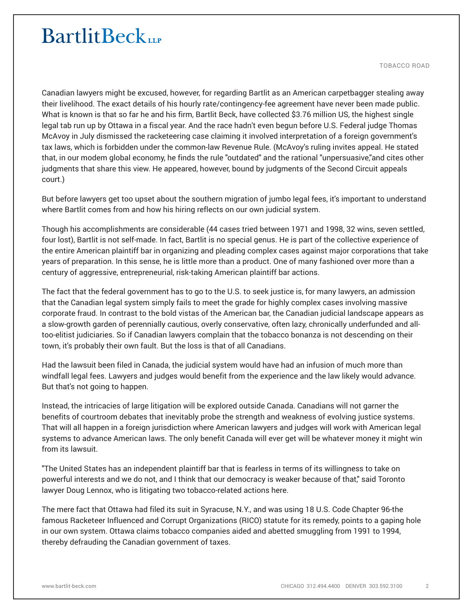TOBACCO ROAD

Canadian lawyers might be excused, however, for regarding Bartlit as an American carpetbagger stealing away their livelihood. The exact details of his hourly rate/contingency-fee agreement have never been made public. What is known is that so far he and his firm, Bartlit Beck, have collected \$3.76 million US, the highest single legal tab run up by Ottawa in a fiscal year. And the race hadn't even begun before U.S. Federal judge Thomas McAvoy in July dismissed the racketeering case claiming it involved interpretation of a foreign government's tax laws, which is forbidden under the common-law Revenue Rule. (McAvoy's ruling invites appeal. He stated that, in our modem global economy, he finds the rule "outdated" and the rational "unpersuasive,"and cites other judgments that share this view. He appeared, however, bound by judgments of the Second Circuit appeals court.)

But before lawyers get too upset about the southern migration of jumbo legal fees, it's important to understand where Bartlit comes from and how his hiring reflects on our own judicial system.

Though his accomplishments are considerable (44 cases tried between 1971 and 1998, 32 wins, seven settled, four lost), Bartlit is not self-made. In fact, Bartlit is no special genus. He is part of the collective experience of the entire American plaintiff bar in organizing and pleading complex cases against major corporations that take years of preparation. In this sense, he is little more than a product. One of many fashioned over more than a century of aggressive, entrepreneurial, risk-taking American plaintiff bar actions.

The fact that the federal government has to go to the U.S. to seek justice is, for many lawyers, an admission that the Canadian legal system simply fails to meet the grade for highly complex cases involving massive corporate fraud. In contrast to the bold vistas of the American bar, the Canadian judicial landscape appears as a slow-growth garden of perennially cautious, overly conservative, often lazy, chronically underfunded and alltoo-elitist judiciaries. So if Canadian lawyers complain that the tobacco bonanza is not descending on their town, it's probably their own fault. But the loss is that of all Canadians.

Had the lawsuit been filed in Canada, the judicial system would have had an infusion of much more than windfall legal fees. Lawyers and judges would benefit from the experience and the law likely would advance. But that's not going to happen.

Instead, the intricacies of large litigation will be explored outside Canada. Canadians will not garner the benefits of courtroom debates that inevitably probe the strength and weakness of evolving justice systems. That will all happen in a foreign jurisdiction where American lawyers and judges will work with American legal systems to advance American laws. The only benefit Canada will ever get will be whatever money it might win from its lawsuit.

"The United States has an independent plaintiff bar that is fearless in terms of its willingness to take on powerful interests and we do not, and I think that our democracy is weaker because of that," said Toronto lawyer Doug Lennox, who is litigating two tobacco-related actions here.

The mere fact that Ottawa had filed its suit in Syracuse, N.Y., and was using 18 U.S. Code Chapter 96-the famous Racketeer Influenced and Corrupt Organizations (RICO) statute for its remedy, points to a gaping hole in our own system. Ottawa claims tobacco companies aided and abetted smuggling from 1991 to 1994, thereby defrauding the Canadian government of taxes.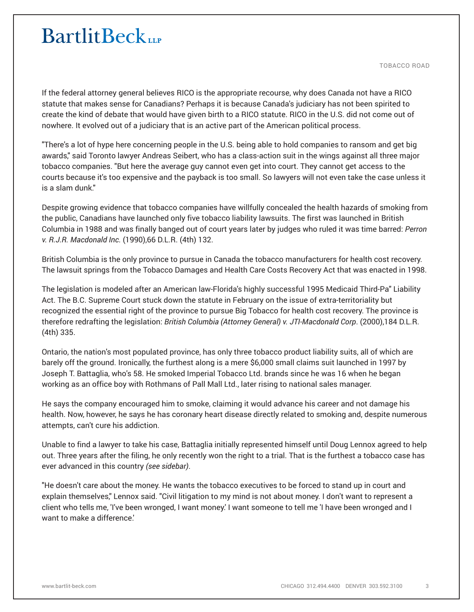TOBACCO ROAD

If the federal attorney general believes RICO is the appropriate recourse, why does Canada not have a RICO statute that makes sense for Canadians? Perhaps it is because Canada's judiciary has not been spirited to create the kind of debate that would have given birth to a RICO statute. RICO in the U.S. did not come out of nowhere. It evolved out of a judiciary that is an active part of the American political process.

"There's a lot of hype here concerning people in the U.S. being able to hold companies to ransom and get big awards," said Toronto lawyer Andreas Seibert, who has a class-action suit in the wings against all three major tobacco companies. "But here the average guy cannot even get into court. They cannot get access to the courts because it's too expensive and the payback is too small. So lawyers will not even take the case unless it is a slam dunk."

Despite growing evidence that tobacco companies have willfully concealed the health hazards of smoking from the public, Canadians have launched only five tobacco liability lawsuits. The first was launched in British Columbia in 1988 and was finally banged out of court years later by judges who ruled it was time barred: *Perron v. R.J.R. Macdonald Inc.* (1990),66 D.L.R. (4th) 132.

British Columbia is the only province to pursue in Canada the tobacco manufacturers for health cost recovery. The lawsuit springs from the Tobacco Damages and Health Care Costs Recovery Act that was enacted in 1998.

The legislation is modeled after an American law-Florida's highly successful 1995 Medicaid Third-Pa" Liability Act. The B.C. Supreme Court stuck down the statute in February on the issue of extra-territoriality but recognized the essential right of the province to pursue Big Tobacco for health cost recovery. The province is therefore redrafting the legislation: *British Columbia (Attorney General) v. JTI-Macdonald Corp*. (2000),184 D.L.R. (4th) 335.

Ontario, the nation's most populated province, has only three tobacco product liability suits, all of which are barely off the ground. Ironically, the furthest along is a mere \$6,000 small claims suit launched in 1997 by Joseph T. Battaglia, who's 58. He smoked Imperial Tobacco Ltd. brands since he was 16 when he began working as an office boy with Rothmans of Pall Mall Ltd., later rising to national sales manager.

He says the company encouraged him to smoke, claiming it would advance his career and not damage his health. Now, however, he says he has coronary heart disease directly related to smoking and, despite numerous attempts, can't cure his addiction.

Unable to find a lawyer to take his case, Battaglia initially represented himself until Doug Lennox agreed to help out. Three years after the filing, he only recently won the right to a trial. That is the furthest a tobacco case has ever advanced in this country *(see sidebar)*.

"He doesn't care about the money. He wants the tobacco executives to be forced to stand up in court and explain themselves," Lennox said. "Civil litigation to my mind is not about money. I don't want to represent a client who tells me, 'I've been wronged, I want money.' I want someone to tell me 'I have been wronged and I want to make a difference.'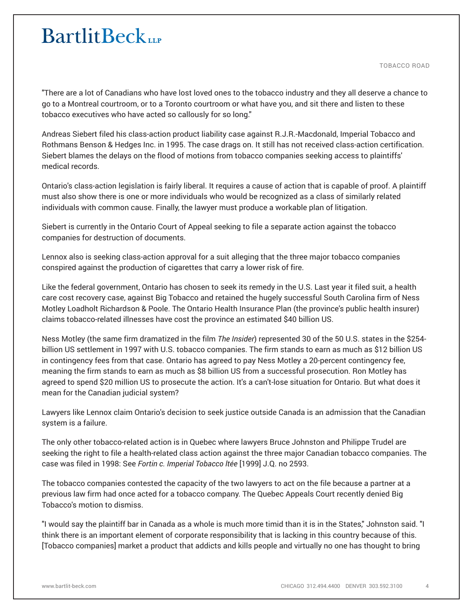TOBACCO ROAD

"There are a lot of Canadians who have lost loved ones to the tobacco industry and they all deserve a chance to go to a Montreal courtroom, or to a Toronto courtroom or what have you, and sit there and listen to these tobacco executives who have acted so callously for so long."

Andreas Siebert filed his class-action product liability case against R.J.R.-Macdonald, Imperial Tobacco and Rothmans Benson & Hedges Inc. in 1995. The case drags on. It still has not received class-action certification. Siebert blames the delays on the flood of motions from tobacco companies seeking access to plaintiffs' medical records.

Ontario's class-action legislation is fairly liberal. It requires a cause of action that is capable of proof. A plaintiff must also show there is one or more individuals who would be recognized as a class of similarly related individuals with common cause. Finally, the lawyer must produce a workable plan of litigation.

Siebert is currently in the Ontario Court of Appeal seeking to file a separate action against the tobacco companies for destruction of documents.

Lennox also is seeking class-action approval for a suit alleging that the three major tobacco companies conspired against the production of cigarettes that carry a lower risk of fire.

Like the federal government, Ontario has chosen to seek its remedy in the U.S. Last year it filed suit, a health care cost recovery case, against Big Tobacco and retained the hugely successful South Carolina firm of Ness Motley Loadholt Richardson & Poole. The Ontario Health Insurance Plan (the province's public health insurer) claims tobacco-related illnesses have cost the province an estimated \$40 billion US.

Ness Motley (the same firm dramatized in the film *The Insider*) represented 30 of the 50 U.S. states in the \$254 billion US settlement in 1997 with U.S. tobacco companies. The firm stands to earn as much as \$12 billion US in contingency fees from that case. Ontario has agreed to pay Ness Motley a 20-percent contingency fee, meaning the firm stands to earn as much as \$8 billion US from a successful prosecution. Ron Motley has agreed to spend \$20 million US to prosecute the action. It's a can't-lose situation for Ontario. But what does it mean for the Canadian judicial system?

Lawyers like Lennox claim Ontario's decision to seek justice outside Canada is an admission that the Canadian system is a failure.

The only other tobacco-related action is in Quebec where lawyers Bruce Johnston and Philippe Trudel are seeking the right to file a health-related class action against the three major Canadian tobacco companies. The case was filed in 1998: See *Fortin c. Imperial Tobacco ltée* [1999] J.Q. no 2593.

The tobacco companies contested the capacity of the two lawyers to act on the file because a partner at a previous law firm had once acted for a tobacco company. The Quebec Appeals Court recently denied Big Tobacco's motion to dismiss.

"I would say the plaintiff bar in Canada as a whole is much more timid than it is in the States," Johnston said. "I think there is an important element of corporate responsibility that is lacking in this country because of this. [Tobacco companies] market a product that addicts and kills people and virtually no one has thought to bring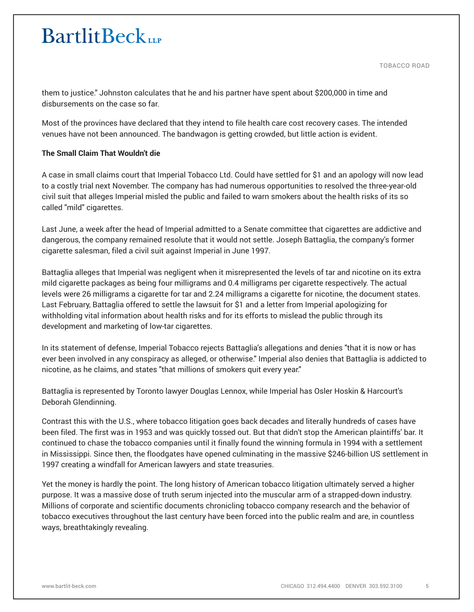TOBACCO ROAD

them to justice." Johnston calculates that he and his partner have spent about \$200,000 in time and disbursements on the case so far.

Most of the provinces have declared that they intend to file health care cost recovery cases. The intended venues have not been announced. The bandwagon is getting crowded, but little action is evident.

#### **The Small Claim That Wouldn't die**

A case in small claims court that Imperial Tobacco Ltd. Could have settled for \$1 and an apology will now lead to a costly trial next November. The company has had numerous opportunities to resolved the three-year-old civil suit that alleges Imperial misled the public and failed to warn smokers about the health risks of its so called "mild" cigarettes.

Last June, a week after the head of Imperial admitted to a Senate committee that cigarettes are addictive and dangerous, the company remained resolute that it would not settle. Joseph Battaglia, the company's former cigarette salesman, filed a civil suit against Imperial in June 1997.

Battaglia alleges that Imperial was negligent when it misrepresented the levels of tar and nicotine on its extra mild cigarette packages as being four milligrams and 0.4 milligrams per cigarette respectively. The actual levels were 26 milligrams a cigarette for tar and 2.24 milligrams a cigarette for nicotine, the document states. Last February, Battaglia offered to settle the lawsuit for \$1 and a letter from Imperial apologizing for withholding vital information about health risks and for its efforts to mislead the public through its development and marketing of low-tar cigarettes.

In its statement of defense, Imperial Tobacco rejects Battaglia's allegations and denies "that it is now or has ever been involved in any conspiracy as alleged, or otherwise." Imperial also denies that Battaglia is addicted to nicotine, as he claims, and states "that millions of smokers quit every year."

Battaglia is represented by Toronto lawyer Douglas Lennox, while Imperial has Osler Hoskin & Harcourt's Deborah Glendinning.

Contrast this with the U.S., where tobacco litigation goes back decades and literally hundreds of cases have been filed. The first was in 1953 and was quickly tossed out. But that didn't stop the American plaintiffs' bar. It continued to chase the tobacco companies until it finally found the winning formula in 1994 with a settlement in Mississippi. Since then, the floodgates have opened culminating in the massive \$246-billion US settlement in 1997 creating a windfall for American lawyers and state treasuries.

Yet the money is hardly the point. The long history of American tobacco litigation ultimately served a higher purpose. It was a massive dose of truth serum injected into the muscular arm of a strapped-down industry. Millions of corporate and scientific documents chronicling tobacco company research and the behavior of tobacco executives throughout the last century have been forced into the public realm and are, in countless ways, breathtakingly revealing.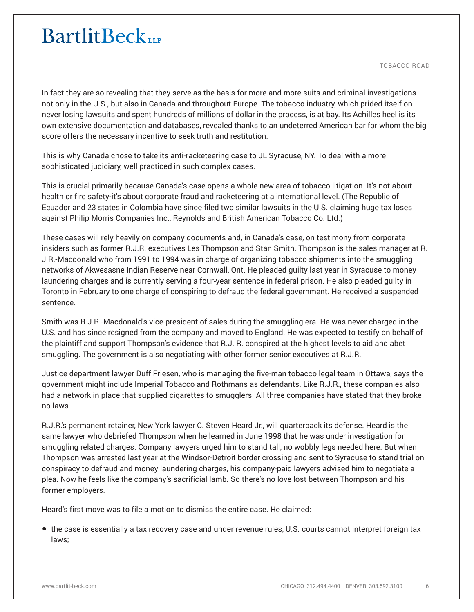TOBACCO ROAD

In fact they are so revealing that they serve as the basis for more and more suits and criminal investigations not only in the U.S., but also in Canada and throughout Europe. The tobacco industry, which prided itself on never losing lawsuits and spent hundreds of millions of dollar in the process, is at bay. Its Achilles heel is its own extensive documentation and databases, revealed thanks to an undeterred American bar for whom the big score offers the necessary incentive to seek truth and restitution.

This is why Canada chose to take its anti-racketeering case to JL Syracuse, NY. To deal with a more sophisticated judiciary, well practiced in such complex cases.

This is crucial primarily because Canada's case opens a whole new area of tobacco litigation. It's not about health or fire safety-it's about corporate fraud and racketeering at a international level. (The Republic of Ecuador and 23 states in Colombia have since filed two similar lawsuits in the U.S. claiming huge tax loses against Philip Morris Companies Inc., Reynolds and British American Tobacco Co. Ltd.)

These cases will rely heavily on company documents and, in Canada's case, on testimony from corporate insiders such as former R.J.R. executives Les Thompson and Stan Smith. Thompson is the sales manager at R. J.R.-Macdonald who from 1991 to 1994 was in charge of organizing tobacco shipments into the smuggling networks of Akwesasne Indian Reserve near Cornwall, Ont. He pleaded guilty last year in Syracuse to money laundering charges and is currently serving a four-year sentence in federal prison. He also pleaded guilty in Toronto in February to one charge of conspiring to defraud the federal government. He received a suspended sentence.

Smith was R.J.R.-Macdonald's vice-president of sales during the smuggling era. He was never charged in the U.S. and has since resigned from the company and moved to England. He was expected to testify on behalf of the plaintiff and support Thompson's evidence that R.J. R. conspired at the highest levels to aid and abet smuggling. The government is also negotiating with other former senior executives at R.J.R.

Justice department lawyer Duff Friesen, who is managing the five-man tobacco legal team in Ottawa, says the government might include Imperial Tobacco and Rothmans as defendants. Like R.J.R., these companies also had a network in place that supplied cigarettes to smugglers. All three companies have stated that they broke no laws.

R.J.R.'s permanent retainer, New York lawyer C. Steven Heard Jr., will quarterback its defense. Heard is the same lawyer who debriefed Thompson when he learned in June 1998 that he was under investigation for smuggling related charges. Company lawyers urged him to stand tall, no wobbly legs needed here. But when Thompson was arrested last year at the Windsor-Detroit border crossing and sent to Syracuse to stand trial on conspiracy to defraud and money laundering charges, his company-paid lawyers advised him to negotiate a plea. Now he feels like the company's sacrificial lamb. So there's no love lost between Thompson and his former employers.

Heard's first move was to file a motion to dismiss the entire case. He claimed:

● the case is essentially a tax recovery case and under revenue rules, U.S. courts cannot interpret foreign tax laws;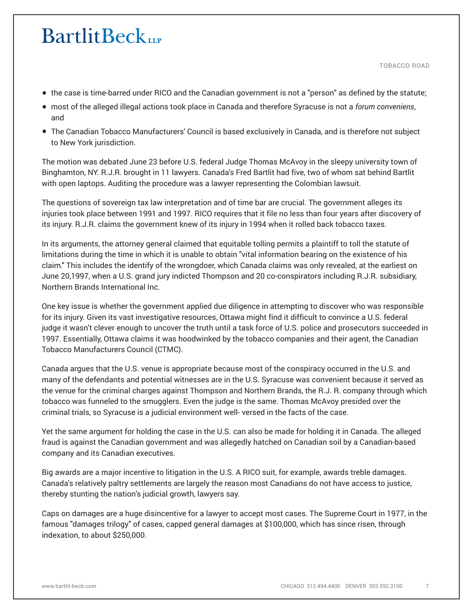TOBACCO ROAD

- the case is time-barred under RICO and the Canadian government is not a "person" as defined by the statute;
- most of the alleged illegal actions took place in Canada and therefore Syracuse is not a *forum conveniens*, and
- The Canadian Tobacco Manufacturers' Council is based exclusively in Canada, and is therefore not subject to New York jurisdiction.

The motion was debated June 23 before U.S. federal Judge Thomas McAvoy in the sleepy university town of Binghamton, NY. R.J.R. brought in 11 lawyers. Canada's Fred Bartlit had five, two of whom sat behind Bartlit with open laptops. Auditing the procedure was a lawyer representing the Colombian lawsuit.

The questions of sovereign tax law interpretation and of time bar are crucial. The government alleges its injuries took place between 1991 and 1997. RICO requires that it file no less than four years after discovery of its injury. R.J.R. claims the government knew of its injury in 1994 when it rolled back tobacco taxes.

In its arguments, the attorney general claimed that equitable tolling permits a plaintiff to toll the statute of limitations during the time in which it is unable to obtain "vital information bearing on the existence of his claim." This includes the identify of the wrongdoer, which Canada claims was only revealed, at the earliest on June 20,1997, when a U.S. grand jury indicted Thompson and 20 co-conspirators including R.J.R. subsidiary, Northern Brands International Inc.

One key issue is whether the government applied due diligence in attempting to discover who was responsible for its injury. Given its vast investigative resources, Ottawa might find it difficult to convince a U.S. federal judge it wasn't clever enough to uncover the truth until a task force of U.S. police and prosecutors succeeded in 1997. Essentially, Ottawa claims it was hoodwinked by the tobacco companies and their agent, the Canadian Tobacco Manufacturers Council (CTMC).

Canada argues that the U.S. venue is appropriate because most of the conspiracy occurred in the U.S. and many of the defendants and potential witnesses are in the U.S. Syracuse was convenient because it served as the venue for the criminal charges against Thompson and Northern Brands, the R.J. R. company through which tobacco was funneled to the smugglers. Even the judge is the same. Thomas McAvoy presided over the criminal trials, so Syracuse is a judicial environment well- versed in the facts of the case.

Yet the same argument for holding the case in the U.S. can also be made for holding it in Canada. The alleged fraud is against the Canadian government and was allegedly hatched on Canadian soil by a Canadian-based company and its Canadian executives.

Big awards are a major incentive to litigation in the U.S. A RICO suit, for example, awards treble damages. Canada's relatively paltry settlements are largely the reason most Canadians do not have access to justice, thereby stunting the nation's judicial growth, lawyers say.

Caps on damages are a huge disincentive for a lawyer to accept most cases. The Supreme Court in 1977, in the famous "damages trilogy" of cases, capped general damages at \$100,000, which has since risen, through indexation, to about \$250,000.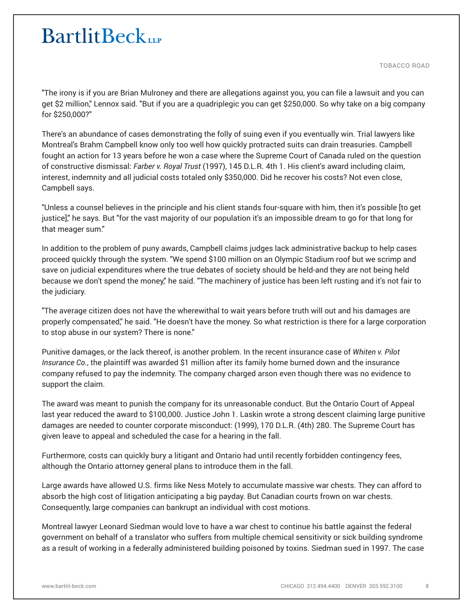TOBACCO ROAD

"The irony is if you are Brian Mulroney and there are allegations against you, you can file a lawsuit and you can get \$2 million," Lennox said. "But if you are a quadriplegic you can get \$250,000. So why take on a big company for \$250,000?"

There's an abundance of cases demonstrating the folly of suing even if you eventually win. Trial lawyers like Montreal's Brahm Campbell know only too well how quickly protracted suits can drain treasuries. Campbell fought an action for 13 years before he won a case where the Supreme Court of Canada ruled on the question of constructive dismissal: *Farber v. Royal Trust* (1997), 145 D.L.R. 4th 1. His client's award including claim, interest, indemnity and all judicial costs totaled only \$350,000. Did he recover his costs? Not even close, Campbell says.

"Unless a counsel believes in the principle and his client stands four-square with him, then it's possible [to get justice]," he says. But "for the vast majority of our population it's an impossible dream to go for that long for that meager sum."

In addition to the problem of puny awards, Campbell claims judges lack administrative backup to help cases proceed quickly through the system. "We spend \$100 million on an Olympic Stadium roof but we scrimp and save on judicial expenditures where the true debates of society should be held-and they are not being held because we don't spend the money," he said. "The machinery of justice has been left rusting and it's not fair to the judiciary.

"The average citizen does not have the wherewithal to wait years before truth will out and his damages are properly compensated," he said. "He doesn't have the money. So what restriction is there for a large corporation to stop abuse in our system? There is none."

Punitive damages, or the lack thereof, is another problem. In the recent insurance case of *Whiten v. Pilot Insurance Co*., the plaintiff was awarded \$1 million after its family home burned down and the insurance company refused to pay the indemnity. The company charged arson even though there was no evidence to support the claim.

The award was meant to punish the company for its unreasonable conduct. But the Ontario Court of Appeal last year reduced the award to \$100,000. Justice John 1. Laskin wrote a strong descent claiming large punitive damages are needed to counter corporate misconduct: (1999), 170 D.L.R. (4th) 280. The Supreme Court has given leave to appeal and scheduled the case for a hearing in the fall.

Furthermore, costs can quickly bury a litigant and Ontario had until recently forbidden contingency fees, although the Ontario attorney general plans to introduce them in the fall.

Large awards have allowed U.S. firms like Ness Motely to accumulate massive war chests. They can afford to absorb the high cost of litigation anticipating a big payday. But Canadian courts frown on war chests. Consequently, large companies can bankrupt an individual with cost motions.

Montreal lawyer Leonard Siedman would love to have a war chest to continue his battle against the federal government on behalf of a translator who suffers from multiple chemical sensitivity or sick building syndrome as a result of working in a federally administered building poisoned by toxins. Siedman sued in 1997. The case